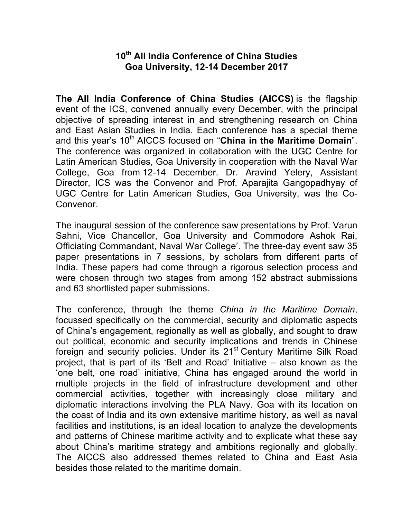## **10th All India Conference of China Studies Goa University, 12-14 December 2017**

**The All India Conference of China Studies (AICCS)** is the flagship event of the ICS, convened annually every December, with the principal objective of spreading interest in and strengthening research on China and East Asian Studies in India. Each conference has a special theme and this year's 10<sup>th</sup> AICCS focused on "China in the Maritime Domain". The conference was organized in collaboration with the UGC Centre for Latin American Studies, Goa University in cooperation with the Naval War College, Goa from 12-14 December. Dr. Aravind Yelery, Assistant Director, ICS was the Convenor and Prof. Aparajita Gangopadhyay of UGC Centre for Latin American Studies, Goa University, was the Co-Convenor.

The inaugural session of the conference saw presentations by Prof. Varun Sahni, Vice Chancellor, Goa University and Commodore Ashok Rai, Officiating Commandant, Naval War College'. The three-day event saw 35 paper presentations in 7 sessions, by scholars from different parts of India. These papers had come through a rigorous selection process and were chosen through two stages from among 152 abstract submissions and 63 shortlisted paper submissions.

The conference, through the theme *China in the Maritime Domain*, focussed specifically on the commercial, security and diplomatic aspects of China's engagement, regionally as well as globally, and sought to draw out political, economic and security implications and trends in Chinese foreign and security policies. Under its 21<sup>st</sup> Century Maritime Silk Road project, that is part of its 'Belt and Road' Initiative – also known as the 'one belt, one road' initiative, China has engaged around the world in multiple projects in the field of infrastructure development and other commercial activities, together with increasingly close military and diplomatic interactions involving the PLA Navy. Goa with its location on the coast of India and its own extensive maritime history, as well as naval facilities and institutions, is an ideal location to analyze the developments and patterns of Chinese maritime activity and to explicate what these say about China's maritime strategy and ambitions regionally and globally. The AICCS also addressed themes related to China and East Asia besides those related to the maritime domain.